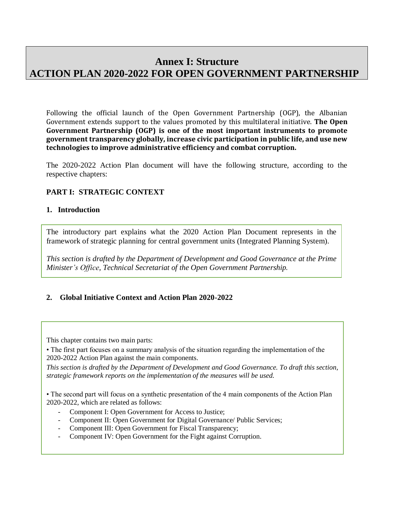# **Annex I: Structure ACTION PLAN 2020-2022 FOR OPEN GOVERNMENT PARTNERSHIP**

Following the official launch of the Open Government Partnership (OGP), the Albanian Government extends support to the values promoted by this multilateral initiative. **The Open Government Partnership (OGP) is one of the most important instruments to promote government transparency globally, increase civic participation in public life, and use new technologies to improve administrative efficiency and combat corruption.**

The 2020-2022 Action Plan document will have the following structure, according to the respective chapters:

## **PART I: STRATEGIC CONTEXT**

#### **1. Introduction**

The introductory part explains what the 2020 Action Plan Document represents in the framework of strategic planning for central government units (Integrated Planning System).

*This section is drafted by the Department of Development and Good Governance at the Prime Minister's Office, Technical Secretariat of the Open Government Partnership.*

## **2. Global Initiative Context and Action Plan 2020-2022**

This chapter contains two main parts:

• The first part focuses on a summary analysis of the situation regarding the implementation of the 2020-2022 Action Plan against the main components.

*This section is drafted by the Department of Development and Good Governance. To draft this section, strategic framework reports on the implementation of the measures will be used.*

• The second part will focus on a synthetic presentation of the 4 main components of the Action Plan 2020-2022, which are related as follows:

- Component I: Open Government for Access to Justice;
- Component II: Open Government for Digital Governance/ Public Services;
- Component III: Open Government for Fiscal Transparency;
- Component IV: Open Government for the Fight against Corruption.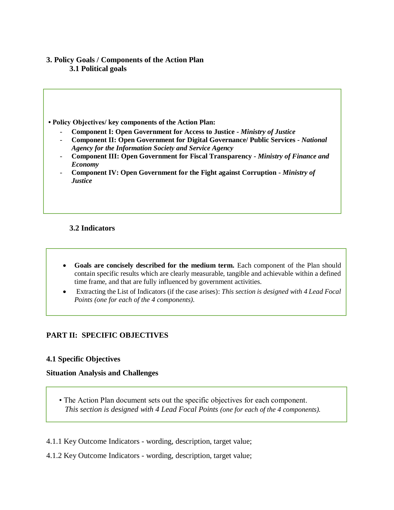#### **3. Policy Goals / Components of the Action Plan 3.1 Political goals**

**• Policy Objectives/ key components of the Action Plan:** 

- **Component I: Open Government for Access to Justice -** *Ministry of Justice*
- **Component II: Open Government for Digital Governance/ Public Services -** *National Agency for the Information Society and Service Agency*
- **Component III: Open Government for Fiscal Transparency -** *Ministry of Finance and Economy*
- **Component IV: Open Government for the Fight against Corruption -** *Ministry of Justice*

## **3.2 Indicators**

- **Goals are concisely described for the medium term.** Each component of the Plan should contain specific results which are clearly measurable, tangible and achievable within a defined time frame, and that are fully influenced by government activities.
- Extracting the List of Indicators (if the case arises): *This section is designed with 4 Lead Focal Points (one for each of the 4 components).*

## **PART II: SPECIFIC OBJECTIVES**

#### **4.1 Specific Objectives**

#### **Situation Analysis and Challenges**

- The Action Plan document sets out the specific objectives for each component.  *This section is designed with 4 Lead Focal Points (one for each of the 4 components).*
- 4.1.1 Key Outcome Indicators wording, description, target value;
- 4.1.2 Key Outcome Indicators wording, description, target value;